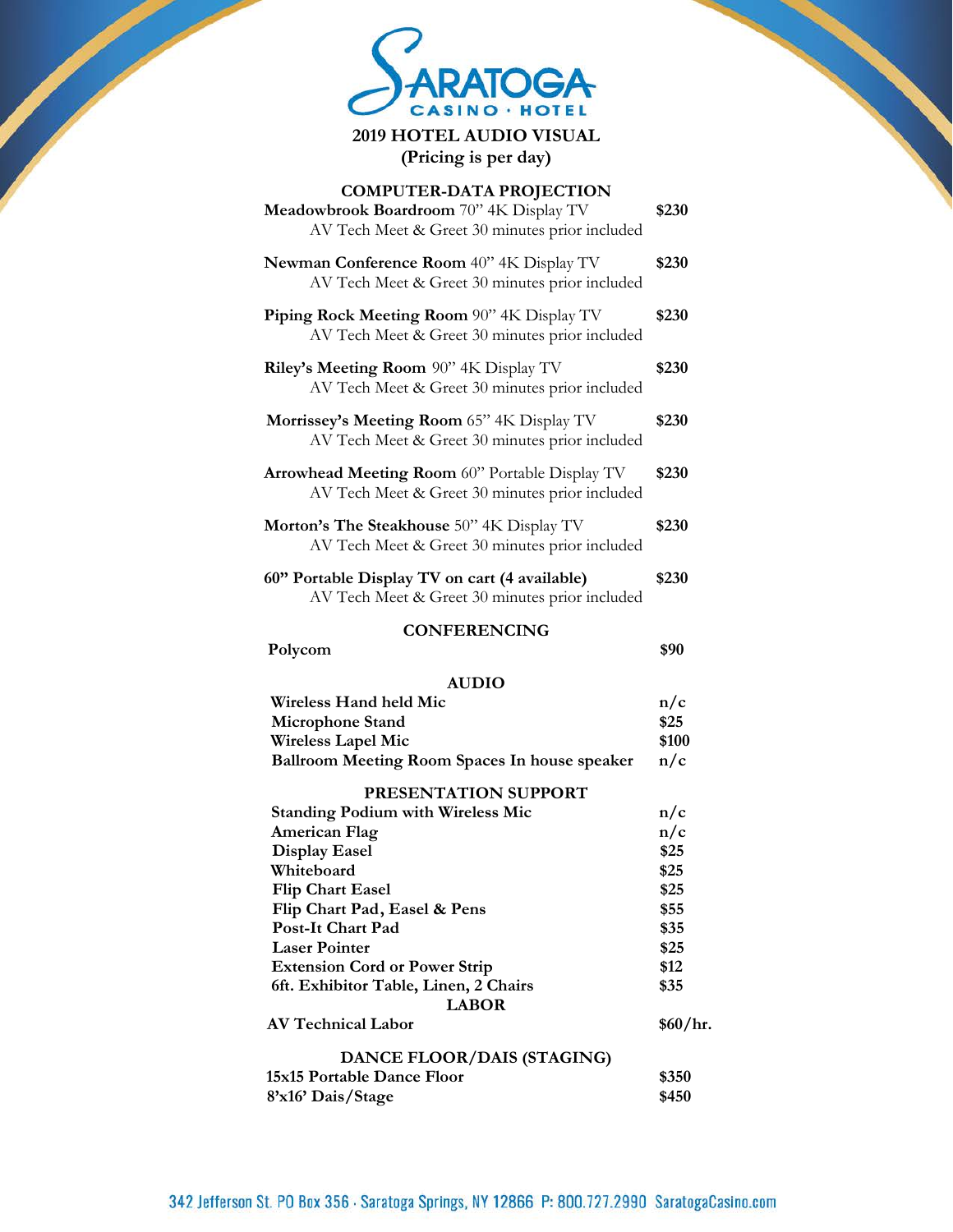

**2019 HOTEL AUDIO VISUAL (Pricing is per day)**

| <b>COMPUTER-DATA PROJECTION</b><br>Meadowbrook Boardroom 70" 4K Display TV<br>AV Tech Meet & Greet 30 minutes prior included | \$230    |
|------------------------------------------------------------------------------------------------------------------------------|----------|
| Newman Conference Room 40" 4K Display TV<br>AV Tech Meet & Greet 30 minutes prior included                                   | \$230    |
| Piping Rock Meeting Room 90" 4K Display TV<br>AV Tech Meet & Greet 30 minutes prior included                                 | \$230    |
| Riley's Meeting Room 90" 4K Display TV<br>AV Tech Meet & Greet 30 minutes prior included                                     | \$230    |
| Morrissey's Meeting Room 65" 4K Display TV<br>AV Tech Meet & Greet 30 minutes prior included                                 | \$230    |
| Arrowhead Meeting Room 60" Portable Display TV<br>AV Tech Meet & Greet 30 minutes prior included                             | \$230    |
| <b>Morton's The Steakhouse</b> 50" 4K Display TV<br>AV Tech Meet & Greet 30 minutes prior included                           | \$230    |
| 60" Portable Display TV on cart (4 available)<br>AV Tech Meet & Greet 30 minutes prior included                              | \$230    |
| <b>CONFERENCING</b>                                                                                                          |          |
| Polycom                                                                                                                      | \$90     |
| <b>AUDIO</b>                                                                                                                 |          |
| <b>Wireless Hand held Mic</b>                                                                                                | n/c      |
| <b>Microphone Stand</b>                                                                                                      | \$25     |
| <b>Wireless Lapel Mic</b>                                                                                                    | \$100    |
| Ballroom Meeting Room Spaces In house speaker                                                                                | n/c      |
| PRESENTATION SUPPORT                                                                                                         |          |
| <b>Standing Podium with Wireless Mic</b>                                                                                     | n/c      |
| <b>American Flag</b>                                                                                                         | n/c      |
| <b>Display Easel</b>                                                                                                         | \$25     |
| Whiteboard                                                                                                                   | \$25     |
| <b>Flip Chart Easel</b>                                                                                                      | \$25     |
| Flip Chart Pad, Easel & Pens                                                                                                 | \$55     |
| Post-It Chart Pad                                                                                                            | \$35     |
| <b>Laser Pointer</b>                                                                                                         | \$25     |
| <b>Extension Cord or Power Strip</b>                                                                                         | \$12     |
|                                                                                                                              |          |
| 6ft. Exhibitor Table, Linen, 2 Chairs                                                                                        | \$35     |
| <b>LABOR</b>                                                                                                                 |          |
| <b>AV Technical Labor</b>                                                                                                    | \$60/hr. |
|                                                                                                                              |          |
| DANCE FLOOR/DAIS (STAGING)<br>15x15 Portable Dance Floor                                                                     | \$350    |